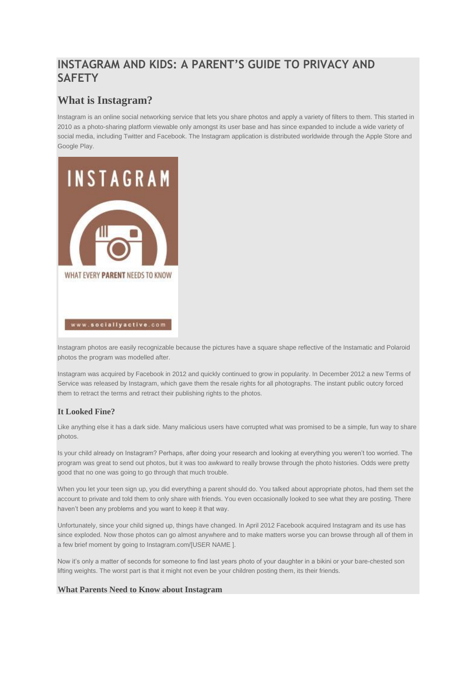# **INSTAGRAM AND KIDS: A PARENT'S GUIDE TO PRIVACY AND SAFETY**

# **What is Instagram?**

Instagram is an online social networking service that lets you share photos and apply a variety of filters to them. This started in 2010 as a photo-sharing platform viewable only amongst its user base and has since expanded to include a wide variety of social media, including Twitter and Facebook. The Instagram application is distributed worldwide through the Apple Store and Google Play.



Instagram photos are easily recognizable because the pictures have a square shape reflective of the Instamatic and Polaroid photos the program was modelled after.

Instagram was acquired by Facebook in 2012 and quickly continued to grow in popularity. In December 2012 a new Terms of Service was released by Instagram, which gave them the resale rights for all photographs. The instant public outcry forced them to retract the terms and retract their publishing rights to the photos.

## **It Looked Fine?**

Like anything else it has a dark side. Many malicious users have corrupted what was promised to be a simple, fun way to share photos.

Is your child already on Instagram? Perhaps, after doing your research and looking at everything you weren"t too worried. The program was great to send out photos, but it was too awkward to really browse through the photo histories. Odds were pretty good that no one was going to go through that much trouble.

When you let your teen sign up, you did everything a parent should do. You talked about appropriate photos, had them set the account to private and told them to only share with friends. You even occasionally looked to see what they are posting. There haven"t been any problems and you want to keep it that way.

Unfortunately, since your child signed up, things have changed. In April 2012 Facebook acquired Instagram and its use has since exploded. Now those photos can go almost anywhere and to make matters worse you can browse through all of them in a few brief moment by going to Instagram.com/[USER NAME ].

Now it's only a matter of seconds for someone to find last years photo of your daughter in a bikini or your bare-chested son lifting weights. The worst part is that it might not even be your children posting them, its their friends.

## **What Parents Need to Know about Instagram**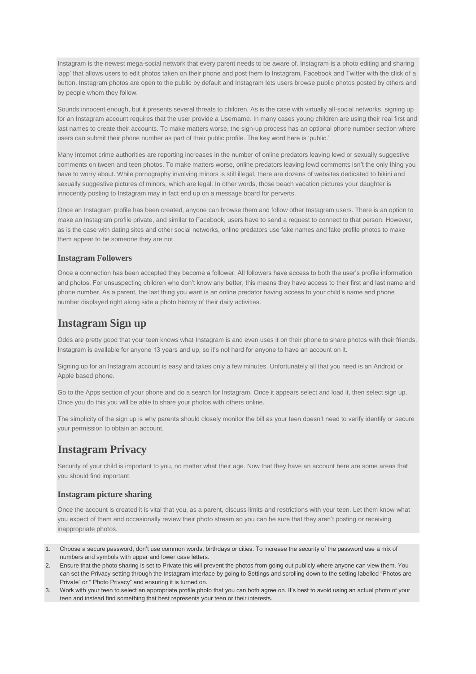Instagram is the newest mega-social network that every parent needs to be aware of. Instagram is a photo editing and sharing "app" that allows users to edit photos taken on their phone and post them to Instagram, Facebook and Twitter with the click of a button. Instagram photos are open to the public by default and Instagram lets users browse public photos posted by others and by people whom they follow.

Sounds innocent enough, but it presents several threats to children. As is the case with virtually all-social networks, signing up for an Instagram account requires that the user provide a Username. In many cases young children are using their real first and last names to create their accounts. To make matters worse, the sign-up process has an optional phone number section where users can submit their phone number as part of their public profile. The key word here is 'public.'

Many Internet crime authorities are reporting increases in the number of online predators leaving lewd or sexually suggestive comments on tween and teen photos. To make matters worse, online predators leaving lewd comments isn"t the only thing you have to worry about. While pornography involving minors is still illegal, there are dozens of websites dedicated to bikini and sexually suggestive pictures of minors, which are legal. In other words, those beach vacation pictures your daughter is innocently posting to Instagram may in fact end up on a message board for perverts.

Once an Instagram profile has been created, anyone can browse them and follow other Instagram users. There is an option to make an Instagram profile private, and similar to Facebook, users have to send a request to connect to that person. However, as is the case with dating sites and other social networks, online predators use fake names and fake profile photos to make them appear to be someone they are not.

### **Instagram Followers**

Once a connection has been accepted they become a follower. All followers have access to both the user"s profile information and photos. For unsuspecting children who don"t know any better, this means they have access to their first and last name and phone number. As a parent, the last thing you want is an online predator having access to your child"s name and phone number displayed right along side a photo history of their daily activities.

## **Instagram Sign up**

Odds are pretty good that your teen knows what Instagram is and even uses it on their phone to share photos with their friends. Instagram is available for anyone 13 years and up, so it's not hard for anyone to have an account on it.

Signing up for an Instagram account is easy and takes only a few minutes. Unfortunately all that you need is an Android or Apple based phone.

Go to the Apps section of your phone and do a search for Instagram. Once it appears select and load it, then select sign up. Once you do this you will be able to share your photos with others online.

The simplicity of the sign up is why parents should closely monitor the bill as your teen doesn"t need to verify identify or secure your permission to obtain an account.

## **Instagram Privacy**

Security of your child is important to you, no matter what their age. Now that they have an account here are some areas that you should find important.

## **Instagram picture sharing**

Once the account is created it is vital that you, as a parent, discuss limits and restrictions with your teen. Let them know what you expect of them and occasionally review their photo stream so you can be sure that they aren"t posting or receiving inappropriate photos.

- 1. Choose a secure password, don"t use common words, birthdays or cities. To increase the security of the password use a mix of numbers and symbols with upper and lower case letters.
- 2. Ensure that the photo sharing is set to Private this will prevent the photos from going out publicly where anyone can view them. You can set the Privacy setting through the Instagram interface by going to Settings and scrolling down to the setting labelled "Photos are Private" or " Photo Privacy" and ensuring it is turned on.
- 3. Work with your teen to select an appropriate profile photo that you can both agree on. It"s best to avoid using an actual photo of your teen and instead find something that best represents your teen or their interests.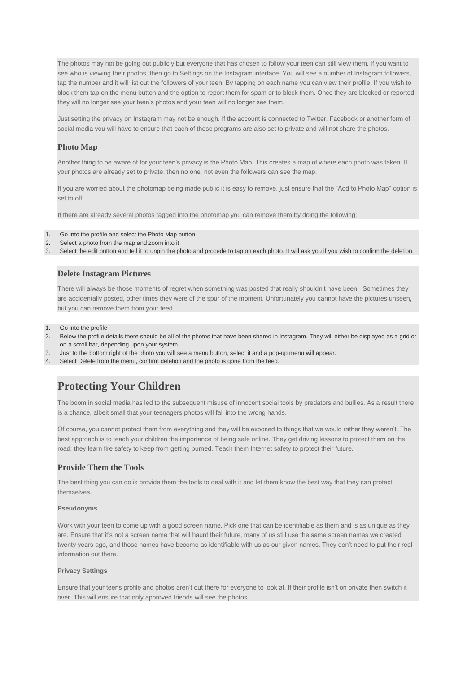The photos may not be going out publicly but everyone that has chosen to follow your teen can still view them. If you want to see who is viewing their photos, then go to Settings on the Instagram interface. You will see a number of Instagram followers, tap the number and it will list out the followers of your teen. By tapping on each name you can view their profile. If you wish to block them tap on the menu button and the option to report them for spam or to block them. Once they are blocked or reported they will no longer see your teen's photos and your teen will no longer see them.

Just setting the privacy on Instagram may not be enough. If the account is connected to Twitter, Facebook or another form of social media you will have to ensure that each of those programs are also set to private and will not share the photos.

## **Photo Map**

Another thing to be aware of for your teen"s privacy is the Photo Map. This creates a map of where each photo was taken. If your photos are already set to private, then no one, not even the followers can see the map.

If you are worried about the photomap being made public it is easy to remove, just ensure that the "Add to Photo Map" option is set to off.

If there are already several photos tagged into the photomap you can remove them by doing the following;

- 1. Go into the profile and select the Photo Map button
- 2. Select a photo from the map and zoom into it
- 3. Select the edit button and tell it to unpin the photo and procede to tap on each photo. It will ask you if you wish to confirm the deletion.

### **Delete Instagram Pictures**

There will always be those moments of regret when something was posted that really shouldn't have been. Sometimes they are accidentally posted, other times they were of the spur of the moment. Unfortunately you cannot have the pictures unseen, but you can remove them from your feed.

- 1. Go into the profile
- 2. Below the profile details there should be all of the photos that have been shared in Instagram. They will either be displayed as a grid or on a scroll bar, depending upon your system.
- 3. Just to the bottom right of the photo you will see a menu button, select it and a pop-up menu will appear.
- 4. Select Delete from the menu, confirm deletion and the photo is gone from the feed.

# **Protecting Your Children**

The boom in social media has led to the subsequent misuse of innocent social tools by predators and bullies. As a result there is a chance, albeit small that your teenagers photos will fall into the wrong hands.

Of course, you cannot protect them from everything and they will be exposed to things that we would rather they weren"t. The best approach is to teach your children the importance of being safe online. They get driving lessons to protect them on the road; they learn fire safety to keep from getting burned. Teach them Internet safety to protect their future.

## **Provide Them the Tools**

The best thing you can do is provide them the tools to deal with it and let them know the best way that they can protect themselves.

#### **Pseudonyms**

Work with your teen to come up with a good screen name. Pick one that can be identifiable as them and is as unique as they are. Ensure that it's not a screen name that will haunt their future, many of us still use the same screen names we created twenty years ago, and those names have become as identifiable with us as our given names. They don"t need to put their real information out there.

#### **Privacy Settings**

Ensure that your teens profile and photos aren"t out there for everyone to look at. If their profile isn"t on private then switch it over. This will ensure that only approved friends will see the photos.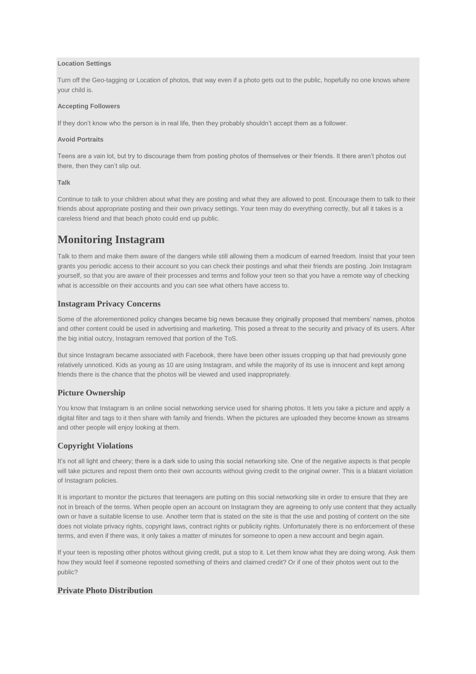#### **Location Settings**

Turn off the Geo-tagging or Location of photos, that way even if a photo gets out to the public, hopefully no one knows where your child is.

#### **Accepting Followers**

If they don't know who the person is in real life, then they probably shouldn't accept them as a follower.

#### **Avoid Portraits**

Teens are a vain lot, but try to discourage them from posting photos of themselves or their friends. It there aren"t photos out there, then they can't slip out.

#### **Talk**

Continue to talk to your children about what they are posting and what they are allowed to post. Encourage them to talk to their friends about appropriate posting and their own privacy settings. Your teen may do everything correctly, but all it takes is a careless friend and that beach photo could end up public.

## **Monitoring Instagram**

Talk to them and make them aware of the dangers while still allowing them a modicum of earned freedom. Insist that your teen grants you periodic access to their account so you can check their postings and what their friends are posting. Join Instagram yourself, so that you are aware of their processes and terms and follow your teen so that you have a remote way of checking what is accessible on their accounts and you can see what others have access to.

## **Instagram Privacy Concerns**

Some of the aforementioned policy changes became big news because they originally proposed that members' names, photos and other content could be used in advertising and marketing. This posed a threat to the security and privacy of its users. After the big initial outcry, Instagram removed that portion of the ToS.

But since Instagram became associated with Facebook, there have been other issues cropping up that had previously gone relatively unnoticed. Kids as young as 10 are using Instagram, and while the majority of its use is innocent and kept among friends there is the chance that the photos will be viewed and used inappropriately.

## **Picture Ownership**

You know that Instagram is an online social networking service used for sharing photos. It lets you take a picture and apply a digital filter and tags to it then share with family and friends. When the pictures are uploaded they become known as streams and other people will enjoy looking at them.

## **Copyright Violations**

It's not all light and cheery; there is a dark side to using this social networking site. One of the negative aspects is that people will take pictures and repost them onto their own accounts without giving credit to the original owner. This is a blatant violation of Instagram policies.

It is important to monitor the pictures that teenagers are putting on this social networking site in order to ensure that they are not in breach of the terms. When people open an account on Instagram they are agreeing to only use content that they actually own or have a suitable license to use. Another term that is stated on the site is that the use and posting of content on the site does not violate privacy rights, copyright laws, contract rights or publicity rights. Unfortunately there is no enforcement of these terms, and even if there was, it only takes a matter of minutes for someone to open a new account and begin again.

If your teen is reposting other photos without giving credit, put a stop to it. Let them know what they are doing wrong. Ask them how they would feel if someone reposted something of theirs and claimed credit? Or if one of their photos went out to the public?

## **Private Photo Distribution**